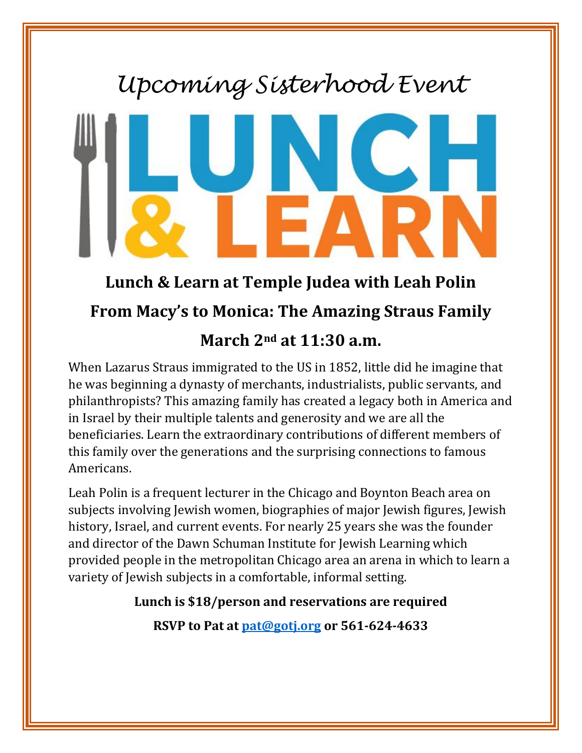## *Upcoming Sisterhood Event*



## **Lunch & Learn at Temple Judea with Leah Polin From Macy's to Monica: The Amazing Straus Family**

## **March 2nd at 11:30 a.m.**

When Lazarus Straus immigrated to the US in 1852, little did he imagine that he was beginning a dynasty of merchants, industrialists, public servants, and philanthropists? This amazing family has created a legacy both in America and in Israel by their multiple talents and generosity and we are all the beneficiaries. Learn the extraordinary contributions of different members of this family over the generations and the surprising connections to famous Americans.

Leah Polin is a frequent lecturer in the Chicago and Boynton Beach area on subjects involving Jewish women, biographies of major Jewish figures, Jewish history, Israel, and current events. For nearly 25 years she was the founder and director of the Dawn Schuman Institute for Jewish Learning which provided people in the metropolitan Chicago area an arena in which to learn a variety of Jewish subjects in a comfortable, informal setting.

## **Lunch is \$18/person and reservations are required**

**RSVP to Pat at [pat@gotj.org](mailto:pat@gotj.org) or 561-624-4633**